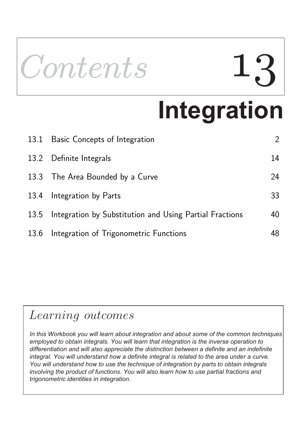

# **Integration**

|      | 13.1 Basic Concepts of Integration                      | $\mathcal{L}$ |
|------|---------------------------------------------------------|---------------|
|      | 13.2 Definite Integrals                                 | 14            |
| 13.3 | The Area Bounded by a Curve                             | 24            |
| 13.4 | Integration by Parts                                    | 33            |
| 13.5 | Integration by Substitution and Using Partial Fractions | 40            |
| 13.6 | Integration of Trigonometric Functions                  | 48            |

## Learning outcomes

*In this Workbook you will learn about integration and about some of the common techniques employed to obtain integrals. You will learn that integration is the inverse operation to differentiation and will also appreciate the distinction between a definite and an indefinite integral. You will understand how a definite integral is related to the area under a curve. You will understand how to use the technique of integration by parts to obtain integrals involving the product of functions. You will also learn how to use partial fractions and trigonometric identities in integration.*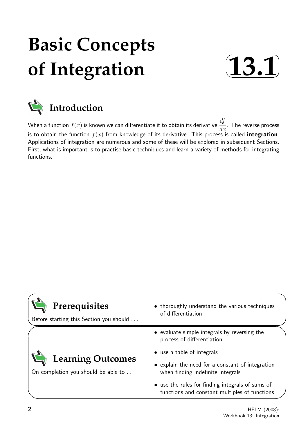## **Basic Concepts of Integration**





When a function  $f(x)$  is known we can differentiate it to obtain its derivative  $\frac{df}{d\theta}$  $\frac{dy}{dx}$ . The reverse process is to obtain the function  $f(x)$  from knowledge of its derivative. This process is called integration. Applications of integration are numerous and some of these will be explored in subsequent Sections. First, what is important is to practise basic techniques and learn a variety of methods for integrating functions.

| Prerequisites<br>Before starting this Section you should        | • thoroughly understand the various techniques<br>of differentiation                              |
|-----------------------------------------------------------------|---------------------------------------------------------------------------------------------------|
|                                                                 | • evaluate simple integrals by reversing the<br>process of differentiation                        |
|                                                                 | • use a table of integrals                                                                        |
| <b>Learning Outcomes</b><br>On completion you should be able to | • explain the need for a constant of integration<br>when finding indefinite integrals             |
|                                                                 | • use the rules for finding integrals of sums of<br>functions and constant multiples of functions |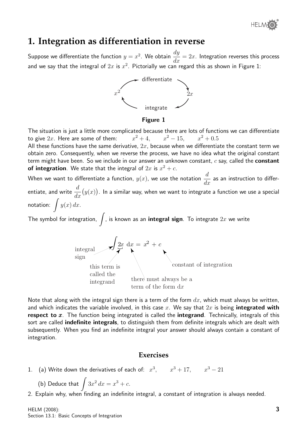®

## **1. Integration as differentiation in reverse**

Suppose we differentiate the function  $y=x^2$ . We obtain  $\frac{dy}{dx}$  $\frac{dy}{dx} = 2x$ . Integration reverses this process and we say that the integral of  $2x$  is  $x^2$ . Pictorially we can regard this as shown in Figure 1:



#### Figure 1

The situation is just a little more complicated because there are lots of functions we can differentiate to give  $2x$ . Here are some of them:  $x^2 + 4$ ,  $x^2 - 15$ ,  $x^2 + 0.5$ All these functions have the same derivative,  $2x$ , because when we differentiate the constant term we obtain zero. Consequently, when we reverse the process, we have no idea what the original constant term might have been. So we include in our answer an unknown constant,  $c$  say, called the **constant** of integration. We state that the integral of  $2x$  is  $x^2 + c$ .

When we want to differentiate a function,  $y(x)$ , we use the notation  $\frac{d}{dx}$  $\frac{d}{dx}$  as an instruction to differentiate, and write  $\frac{d}{dt}$  $dx$  $(y(x))$ . In a similar way, when we want to integrate a function we use a special notation:  $\int y(x) dx$ .

The symbol for integration,  $\int$ , is known as an **integral sign**. To integrate  $2x$  we write



Note that along with the integral sign there is a term of the form  $dx$ , which must always be written, and which indicates the variable involved, in this case x. We say that  $2x$  is being integrated with respect to  $x$ . The function being integrated is called the integrand. Technically, integrals of this sort are called indefinite integrals, to distinguish them from definite integrals which are dealt with subsequently. When you find an indefinite integral your answer should always contain a constant of integration.

#### **Exercises**

1. (a) Write down the derivatives of each of:  $x^3$ ,  $x^3 + 17$ ,  $x^3 - 21$ 

(b) Deduce that 
$$
\int 3x^2 dx = x^3 + c
$$
.

2. Explain why, when finding an indefinite integral, a constant of integration is always needed.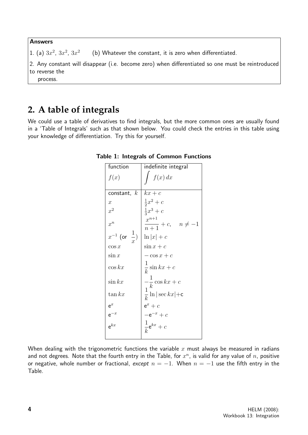#### Answers

- 1. (a)  $3x^2$ ,  $3x^2$ ,  $3x^2$ (b) Whatever the constant, it is zero when differentiated.
- 2. Any constant will disappear (i.e. become zero) when differentiated so one must be reintroduced to reverse the
	- process.

## **2. A table of integrals**

We could use a table of derivatives to find integrals, but the more common ones are usually found in a 'Table of Integrals' such as that shown below. You could check the entries in this table using your knowledge of differentiation. Try this for yourself.

| function                        | indefinite integral                                                                      |
|---------------------------------|------------------------------------------------------------------------------------------|
| f(x)                            | f(x) dx                                                                                  |
| constant, $k$                   | $kx+c$                                                                                   |
| $\boldsymbol{x}$                | $\frac{1}{2}x^2 + c$                                                                     |
| $x^2$                           | $\frac{1}{3}x^3 + c$                                                                     |
| $x^n$                           | $x^{n+1}$<br>$\frac{1}{n+1} + c, \quad n \neq -1$                                        |
| $x^{-1}$ (or $\frac{1}{x}$ )    | $\ln  x  + c$                                                                            |
| $\cos x$                        | $\sin x + c$                                                                             |
| $\sin x$                        | $-\cos x + c$                                                                            |
| $\cos kx$                       | $\frac{1}{k}\sin kx + c$                                                                 |
| $\sin kx$                       | $\begin{aligned}\n-\frac{1}{k}\cos kx + c \\ \frac{1}{k}\ln \sec kx  + c\n\end{aligned}$ |
| $\tan kx$                       |                                                                                          |
|                                 | $e^x + c$                                                                                |
|                                 | $-e^{-x}+c$                                                                              |
| $e^{x}$<br>$e^{-x}$<br>$e^{kx}$ | $\frac{1}{k} \mathsf{e}^{kx} + c$                                                        |

#### Table 1: Integrals of Common Functions

When dealing with the trigonometric functions the variable x must always be measured in radians and not degrees. Note that the fourth entry in the Table, for  $x^n$ , is valid for any value of  $n$ , positive or negative, whole number or fractional, except  $n = -1$ . When  $n = -1$  use the fifth entry in the Table.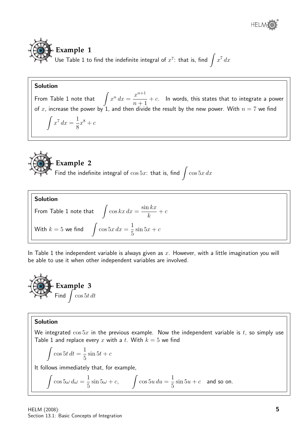



Use Table 1 to find the indefinite integral of  $x^7$ : that is, find  $\int x^7 dx$ 

#### Solution

From Table 1 note that  $\int x^n dx =$  $x^{n+1}$  $n+1$  $+ c$ . In words, this states that to integrate a power of x, increase the power by 1, and then divide the result by the new power. With  $n = 7$  we find

$$
\int x^7 dx = \frac{1}{8}x^8 + c
$$



### **Example 2**

Find the indefinite integral of  $\cos 5x$ : that is, find  $\int \cos 5x \, dx$ 

**Solution**  
From Table 1 note that 
$$
\int \cos kx \, dx = \frac{\sin kx}{k} + c
$$
With  $k = 5$  we find 
$$
\int \cos 5x \, dx = \frac{1}{5} \sin 5x + c
$$

In Table 1 the independent variable is always given as  $x$ . However, with a little imagination you will be able to use it when other independent variables are involved.



#### Solution

We integrated  $\cos 5x$  in the previous example. Now the independent variable is t, so simply use Table 1 and replace every x with a t. With  $k = 5$  we find

$$
\int \cos 5t \, dt = \frac{1}{5} \sin 5t + c
$$

It follows immediately that, for example,

$$
\int \cos 5\omega \, d\omega = \frac{1}{5} \sin 5\omega + c, \qquad \int \cos 5u \, du = \frac{1}{5} \sin 5u + c \quad \text{and so on.}
$$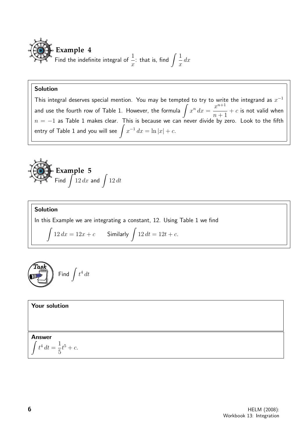

#### Solution

This integral deserves special mention. You may be tempted to try to write the integrand as  $x^{-1}$ and use the fourth row of Table 1. However, the formula  $\int x^n\,dx=0$  $x^{n+1}$  $n+1$  $+ c$  is not valid when  $n = -1$  as Table 1 makes clear. This is because we can never divide by zero. Look to the fifth entry of Table 1 and you will see  $\int x^{-1}\,dx=\ln|x|+c.$ 

**Example 5** Find  $\int_{12}^{1} dx$  and  $\int_{12}^{1} dt$ 

Solution In this Example we are integrating a constant, 12. Using Table 1 we find Z  $12 dx = 12x + c$  Similarly  $\int 12 dt = 12t + c$ .



Your solution

Answer

$$
\int t^4 dt = \frac{1}{5}t^5 + c.
$$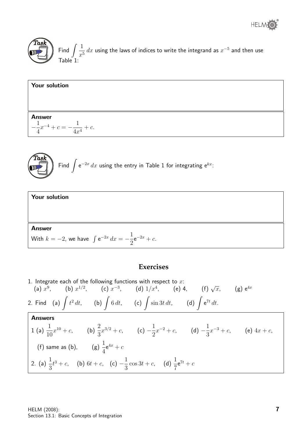





**Task** Find 
$$
\int e^{-2x} dx
$$
 using the entry in Table 1 for integrating  $e^{kx}$ :

| <b>Your solution</b>                                                  |  |  |  |
|-----------------------------------------------------------------------|--|--|--|
|                                                                       |  |  |  |
|                                                                       |  |  |  |
| <b>Answer</b>                                                         |  |  |  |
| With $k = -2$ , we have $\int e^{-2x} dx = -\frac{1}{2}e^{-2x} + c$ . |  |  |  |

#### **Exercises**

1. Integrate each of the following functions with respect to  $x$ : The each of the following functions with respect to x.<br>
(a)  $x^9$ , (b)  $x^{1/2}$ , (c)  $x^{-3}$ , (d)  $1/x^4$ , (e) 4, (f)  $\sqrt{x}$ , (g)  $e^{4x}$ 2. Find (a)  $\int t^2 dt$ , (b)  $\int 6 dt$ , (c)  $\int \sin 3t dt$ , (d)  $\int e^{7t} dt$ . Answers 1 (a)  $\frac{1}{16}$ 10  $x^{10} + c$ , (b)  $\frac{2}{2}$ 3  $x^{3/2} + c$ , (c)  $-\frac{1}{2}$ 2  $x^{-2} + c$ , (d)  $-\frac{1}{2}$ 3  $x^{-3} + c$ , (e)  $4x + c$ , (f) same as (b),  $\qquad$  (g)  $\frac{1}{4}$ 4  $e^{4x} + c$ 2. (a)  $\frac{1}{2}$ 3  $t^3 + c$ , (b)  $6t + c$ , (c)  $-\frac{1}{2}$ 3  $\cos 3t + c$ , (d)  $\frac{1}{7}$ 7  $e^{7t} + c$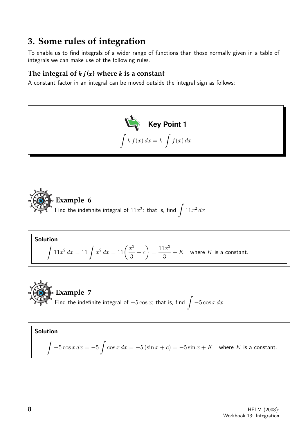## **3. Some rules of integration**

To enable us to find integrals of a wider range of functions than those normally given in a table of integrals we can make use of the following rules.

#### The integral of  $kf(x)$  where  $k$  is a constant

A constant factor in an integral can be moved outside the integral sign as follows:





**Solution**  

$$
\int 11x^2 dx = 11 \int x^2 dx = 11 \left( \frac{x^3}{3} + c \right) = \frac{11x^3}{3} + K
$$
 where *K* is a constant.

**Example 7**  
Find the indefinite integral of 
$$
-5 \cos x
$$
; that is, find  $\int -5 \cos x dx$ 

Solution  

$$
\int -5\cos x \, dx = -5 \int \cos x \, dx = -5(\sin x + c) = -5\sin x + K \quad \text{where } K \text{ is a constant.}
$$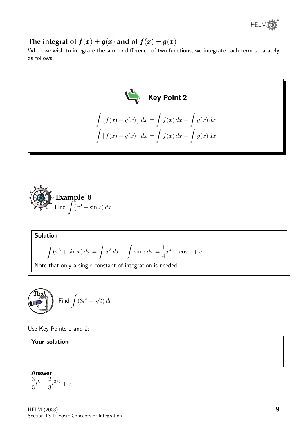

The integral of  $f(x) + g(x)$  and of  $f(x) - g(x)$ 

When we wish to integrate the sum or difference of two functions, we integrate each term separately as follows:





Solution

$$
\int (x^3 + \sin x) \, dx = \int x^3 \, dx + \int \sin x \, dx = \frac{1}{4}x^4 - \cos x + c
$$

Note that only a single constant of integration is needed.



Use Key Points 1 and 2:

Answer 3 5  $t^5 + \frac{2}{5}$ 3  $t^{3/2} + c$ 

Your solution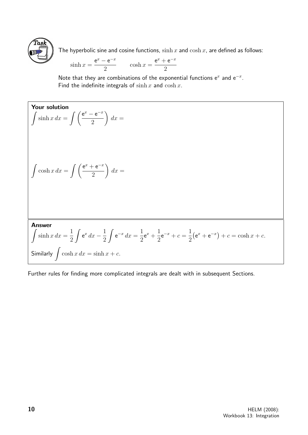

The hyperbolic sine and cosine functions,  $\sinh x$  and  $\cosh x$ , are defined as follows:

$$
\sinh x = \frac{e^x - e^{-x}}{2}
$$
  $\cosh x = \frac{e^x + e^{-x}}{2}$ 

Note that they are combinations of the exponential functions  $e^x$  and  $e^{-x}$ . Find the indefinite integrals of  $\sinh x$  and  $\cosh x$ .

Your solution  
\n
$$
\int \sinh x \, dx = \int \left( \frac{e^x - e^{-x}}{2} \right) dx =
$$
\n
$$
\int \cosh x \, dx = \int \left( \frac{e^x + e^{-x}}{2} \right) dx =
$$
\nAnswer  
\n
$$
\int \sinh x \, dx = \frac{1}{2} \int e^x \, dx - \frac{1}{2} \int e^{-x} \, dx = \frac{1}{2} e^x + \frac{1}{2} e^{-x} + c = \frac{1}{2} (e^x + e^{-x}) + c = \cosh x + c.
$$
\nSimilarly  $\int \cosh x \, dx = \sinh x + c.$ 

Further rules for finding more complicated integrals are dealt with in subsequent Sections.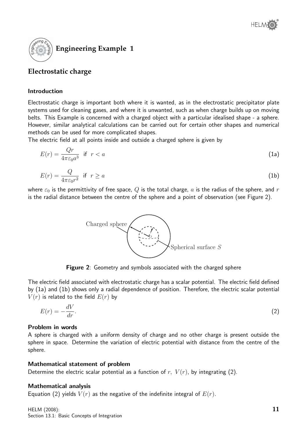



#### **Electrostatic charge**

#### Introduction

Electrostatic charge is important both where it is wanted, as in the electrostatic precipitator plate systems used for cleaning gases, and where it is unwanted, such as when charge builds up on moving belts. This Example is concerned with a charged object with a particular idealised shape - a sphere. However, similar analytical calculations can be carried out for certain other shapes and numerical methods can be used for more complicated shapes.

The electric field at all points inside and outside a charged sphere is given by

$$
E(r) = \frac{Qr}{4\pi\varepsilon_0 a^3} \quad \text{if} \quad r < a \tag{1a}
$$

$$
E(r) = \frac{Q}{4\pi\varepsilon_0 r^2} \quad \text{if} \quad r \ge a \tag{1b}
$$

where  $\varepsilon_0$  is the permittivity of free space, Q is the total charge, a is the radius of the sphere, and r is the radial distance between the centre of the sphere and a point of observation (see Figure 2).



**Figure 2:** Geometry and symbols associated with the charged sphere

The electric field associated with electrostatic charge has a scalar potential. The electric field defined by (1a) and (1b) shows only a radial dependence of position. Therefore, the electric scalar potential  $V(r)$  is related to the field  $E(r)$  by

$$
E(r) = -\frac{dV}{dr}.\tag{2}
$$

#### Problem in words

A sphere is charged with a uniform density of charge and no other charge is present outside the sphere in space. Determine the variation of electric potential with distance from the centre of the sphere.

#### Mathematical statement of problem

Determine the electric scalar potential as a function of  $r$ ,  $V(r)$ , by integrating (2).

#### Mathematical analysis

Equation (2) yields  $V(r)$  as the negative of the indefinite integral of  $E(r)$ .

HELM (2008): Section 13.1: Basic Concepts of Integration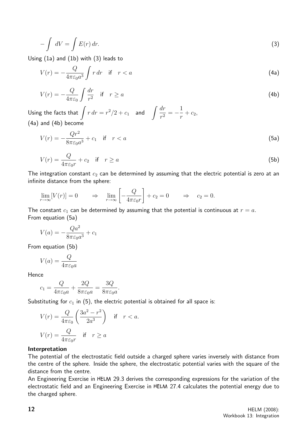$$
-\int dV = \int E(r) dr.
$$
\n(3)

Using (1a) and (1b) with (3) leads to

$$
V(r) = -\frac{Q}{4\pi\varepsilon_0 a^3} \int r \, dr \quad \text{if} \quad r < a \tag{4a}
$$

$$
V(r) = -\frac{Q}{4\pi\varepsilon_0} \int \frac{dr}{r^2} \quad \text{if} \quad r \ge a \tag{4b}
$$

Using the facts that  $\int r dr = r^2/2 + c_1$  and  $\int \frac{dr}{r^2}$  $\frac{dr}{r^2} = -\frac{1}{r}$  $\frac{1}{r} + c_2,$ (4a) and (4b) become

$$
V(r) = -\frac{Qr^2}{8\pi\varepsilon_0 a^3} + c_1 \quad \text{if} \quad r < a \tag{5a}
$$

$$
V(r) = \frac{Q}{4\pi\varepsilon_0 r} + c_2 \quad \text{if} \quad r \ge a \tag{5b}
$$

The integration constant  $c_2$  can be determined by assuming that the electric potential is zero at an infinite distance from the sphere:

$$
\lim_{r \to \infty} [V(r)] = 0 \qquad \Rightarrow \quad \lim_{r \to \infty} \left[ -\frac{Q}{4\pi\varepsilon_0 r} \right] + c_2 = 0 \qquad \Rightarrow \quad c_2 = 0.
$$

The constant  $c_1$  can be determined by assuming that the potential is continuous at  $r = a$ . From equation (5a)

$$
V(a) = -\frac{Qa^2}{8\pi\varepsilon_0 a^3} + c_1
$$

From equation (5b)

$$
V(a) = \frac{Q}{4\pi\varepsilon_0 a}
$$

Hence

$$
c_1 = \frac{Q}{4\pi\varepsilon_0 a} + \frac{2Q}{8\pi\varepsilon_0 a} = \frac{3Q}{8\pi\varepsilon_0 a}.
$$

Substituting for  $c_1$  in (5), the electric potential is obtained for all space is:

$$
V(r) = \frac{Q}{4\pi\varepsilon_0} \left(\frac{3a^2 - r^2}{2a^3}\right) \quad \text{if} \quad r < a.
$$
\n
$$
V(r) = \frac{Q}{4\pi\varepsilon_0 r} \quad \text{if} \quad r \ge a
$$

#### Interpretation

The potential of the electrostatic field outside a charged sphere varies inversely with distance from the centre of the sphere. Inside the sphere, the electrostatic potential varies with the square of the distance from the centre.

An Engineering Exercise in HELM 29.3 derives the corresponding expressions for the variation of the electrostatic field and an Engineering Exercise in HELM 27.4 calculates the potential energy due to the charged sphere.